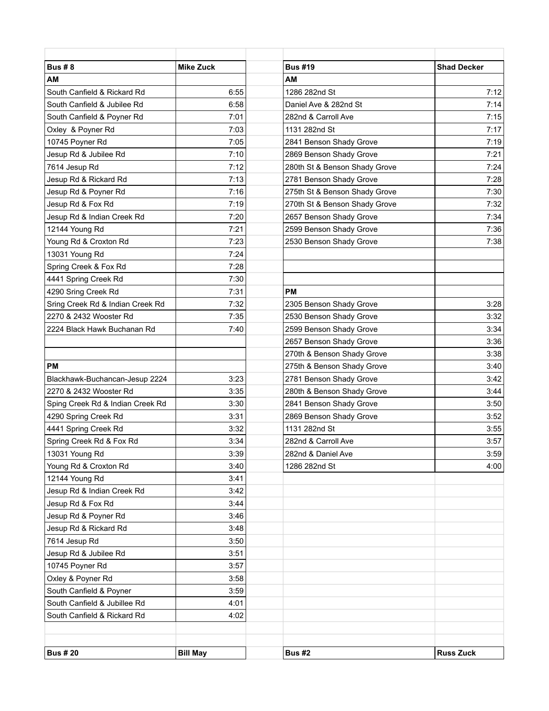| <b>Bus #8</b>                    |                  | <b>Bus #19</b>                | <b>Shad Decker</b> |
|----------------------------------|------------------|-------------------------------|--------------------|
|                                  | <b>Mike Zuck</b> |                               |                    |
| AM                               |                  | AM                            |                    |
| South Canfield & Rickard Rd      | 6:55             | 1286 282nd St                 | 7:12               |
| South Canfield & Jubilee Rd      | 6:58             | Daniel Ave & 282nd St         | 7:14               |
| South Canfield & Poyner Rd       | 7:01             | 282nd & Carroll Ave           | 7:15               |
| Oxley & Poyner Rd                | 7:03             | 1131 282nd St                 | 7:17               |
| 10745 Poyner Rd                  | 7:05             | 2841 Benson Shady Grove       | 7:19               |
| Jesup Rd & Jubilee Rd            | 7:10             | 2869 Benson Shady Grove       | 7:21               |
| 7614 Jesup Rd                    | 7:12             | 280th St & Benson Shady Grove | 7:24               |
| Jesup Rd & Rickard Rd            | 7:13             | 2781 Benson Shady Grove       | 7:28               |
| Jesup Rd & Poyner Rd             | 7:16             | 275th St & Benson Shady Grove | 7:30               |
| Jesup Rd & Fox Rd                | 7:19             | 270th St & Benson Shady Grove | 7:32               |
| Jesup Rd & Indian Creek Rd       | 7:20             | 2657 Benson Shady Grove       | 7:34               |
| 12144 Young Rd                   | 7:21             | 2599 Benson Shady Grove       | 7:36               |
| Young Rd & Croxton Rd            | 7:23             | 2530 Benson Shady Grove       | 7:38               |
| 13031 Young Rd                   | 7:24             |                               |                    |
| Spring Creek & Fox Rd            | 7:28             |                               |                    |
| 4441 Spring Creek Rd             | 7:30             |                               |                    |
| 4290 Sring Creek Rd              | 7:31             | <b>PM</b>                     |                    |
| Sring Creek Rd & Indian Creek Rd | 7:32             | 2305 Benson Shady Grove       | 3:28               |
| 2270 & 2432 Wooster Rd           | 7:35             | 2530 Benson Shady Grove       | 3:32               |
| 2224 Black Hawk Buchanan Rd      | 7:40             | 2599 Benson Shady Grove       | 3:34               |
|                                  |                  | 2657 Benson Shady Grove       | 3:36               |
|                                  |                  | 270th & Benson Shady Grove    | 3:38               |
| <b>PM</b>                        |                  | 275th & Benson Shady Grove    | 3:40               |
| Blackhawk-Buchancan-Jesup 2224   | 3:23             | 2781 Benson Shady Grove       | 3:42               |
| 2270 & 2432 Wooster Rd           | 3:35             | 280th & Benson Shady Grove    | 3:44               |
| Sping Creek Rd & Indian Creek Rd | 3:30             | 2841 Benson Shady Grove       | 3:50               |
| 4290 Spring Creek Rd             | 3:31             | 2869 Benson Shady Grove       | 3:52               |
| 4441 Spring Creek Rd             | 3:32             | 1131 282nd St                 | 3:55               |
| Spring Creek Rd & Fox Rd         | 3:34             | 282nd & Carroll Ave           | 3:57               |
| 13031 Young Rd                   | 3:39             | 282nd & Daniel Ave            | 3:59               |
| Young Rd & Croxton Rd            | 3:40             | 1286 282nd St                 | 4:00               |
| 12144 Young Rd                   | 3:41             |                               |                    |
| Jesup Rd & Indian Creek Rd       | 3:42             |                               |                    |
| Jesup Rd & Fox Rd                | 3:44             |                               |                    |
| Jesup Rd & Poyner Rd             | 3:46             |                               |                    |
| Jesup Rd & Rickard Rd            | 3:48             |                               |                    |
| 7614 Jesup Rd                    | 3:50             |                               |                    |
| Jesup Rd & Jubilee Rd            | 3:51             |                               |                    |
| 10745 Poyner Rd                  | 3:57             |                               |                    |
| Oxley & Poyner Rd                | 3:58             |                               |                    |
| South Canfield & Poyner          | 3:59             |                               |                    |
| South Canfield & Jubillee Rd     | 4:01             |                               |                    |
| South Canfield & Rickard Rd      | 4:02             |                               |                    |
|                                  |                  |                               |                    |
| <b>Bus #20</b>                   | <b>Bill May</b>  | <b>Bus #2</b>                 | <b>Russ Zuck</b>   |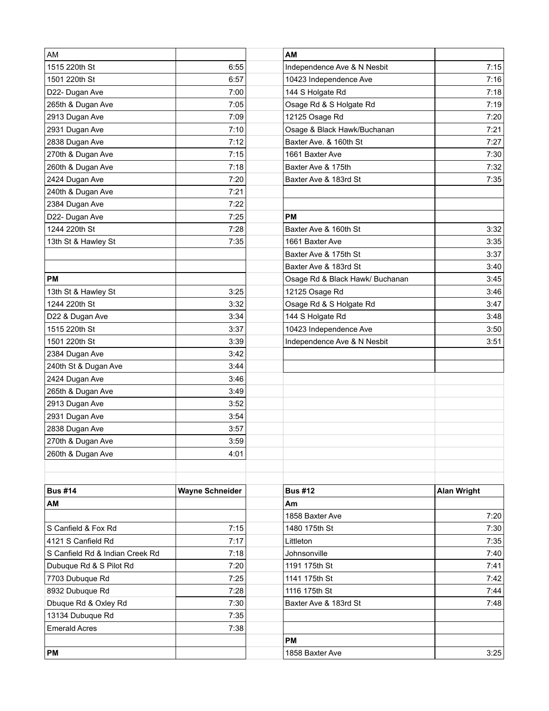| AM                              |                        | AM                              |                    |
|---------------------------------|------------------------|---------------------------------|--------------------|
| 1515 220th St                   | 6:55                   | Independence Ave & N Nesbit     | 7:15               |
| 1501 220th St                   | 6:57                   | 10423 Independence Ave          | 7:16               |
| D22- Dugan Ave                  | 7:00                   | 144 S Holgate Rd                | 7:18               |
| 265th & Dugan Ave               | 7:05                   | Osage Rd & S Holgate Rd         | 7:19               |
| 2913 Dugan Ave                  | 7:09                   | 12125 Osage Rd                  | 7:20               |
| 2931 Dugan Ave                  | 7:10                   | Osage & Black Hawk/Buchanan     | 7:21               |
| 2838 Dugan Ave                  | 7:12                   | Baxter Ave. & 160th St          | 7:27               |
| 270th & Dugan Ave               | 7:15                   | 1661 Baxter Ave                 | 7:30               |
| 260th & Dugan Ave               | 7:18                   | Baxter Ave & 175th              | 7:32               |
| 2424 Dugan Ave                  | 7:20                   | Baxter Ave & 183rd St           | 7:35               |
| 240th & Dugan Ave               | 7:21                   |                                 |                    |
| 2384 Dugan Ave                  | 7:22                   |                                 |                    |
| D22- Dugan Ave                  | 7:25                   | <b>PM</b>                       |                    |
| 1244 220th St                   | 7:28                   | Baxter Ave & 160th St           | 3:32               |
| 13th St & Hawley St             | 7:35                   | 1661 Baxter Ave                 | 3:35               |
|                                 |                        | Baxter Ave & 175th St           | 3:37               |
|                                 |                        | Baxter Ave & 183rd St           | 3:40               |
| <b>PM</b>                       |                        | Osage Rd & Black Hawk/ Buchanan | 3:45               |
| 13th St & Hawley St             | 3:25                   | 12125 Osage Rd                  | 3:46               |
| 1244 220th St                   | 3:32                   | Osage Rd & S Holgate Rd         | 3:47               |
| D22 & Dugan Ave                 | 3:34                   | 144 S Holgate Rd                | 3:48               |
| 1515 220th St                   | 3:37                   | 10423 Independence Ave          | 3:50               |
| 1501 220th St                   | 3:39                   | Independence Ave & N Nesbit     | 3:51               |
| 2384 Dugan Ave                  | 3:42                   |                                 |                    |
| 240th St & Dugan Ave            | 3:44                   |                                 |                    |
| 2424 Dugan Ave                  | 3:46                   |                                 |                    |
| 265th & Dugan Ave               | 3:49                   |                                 |                    |
| 2913 Dugan Ave                  | 3:52                   |                                 |                    |
| 2931 Dugan Ave                  | 3:54                   |                                 |                    |
| 2838 Dugan Ave                  | 3:57                   |                                 |                    |
| 270th & Dugan Ave               | 3:59                   |                                 |                    |
| 260th & Dugan Ave               | 4:01                   |                                 |                    |
|                                 |                        |                                 |                    |
| <b>Bus #14</b>                  | <b>Wayne Schneider</b> | <b>Bus #12</b>                  | <b>Alan Wright</b> |
| AM                              |                        | Am                              |                    |
|                                 |                        | 1858 Baxter Ave                 | 7:20               |
| S Canfield & Fox Rd             | 7:15                   | 1480 175th St                   | 7:30               |
| 4121 S Canfield Rd              | 7:17                   | Littleton                       | 7:35               |
| S Canfield Rd & Indian Creek Rd | 7:18                   | Johnsonville                    | 7:40               |
| Dubuque Rd & S Pilot Rd         | 7:20                   | 1191 175th St                   | 7:41               |
| 7703 Dubuque Rd                 | 7:25                   | 1141 175th St                   | 7:42               |
| 8932 Dubuque Rd                 | 7:28                   | 1116 175th St                   | 7:44               |
| Dbuque Rd & Oxley Rd            | 7:30                   | Baxter Ave & 183rd St           | 7:48               |
| 13134 Dubuque Rd                | 7:35                   |                                 |                    |
| <b>Emerald Acres</b>            | 7:38                   |                                 |                    |
|                                 |                        | <b>PM</b>                       |                    |
| PM                              |                        | 1858 Baxter Ave                 | 3:25               |